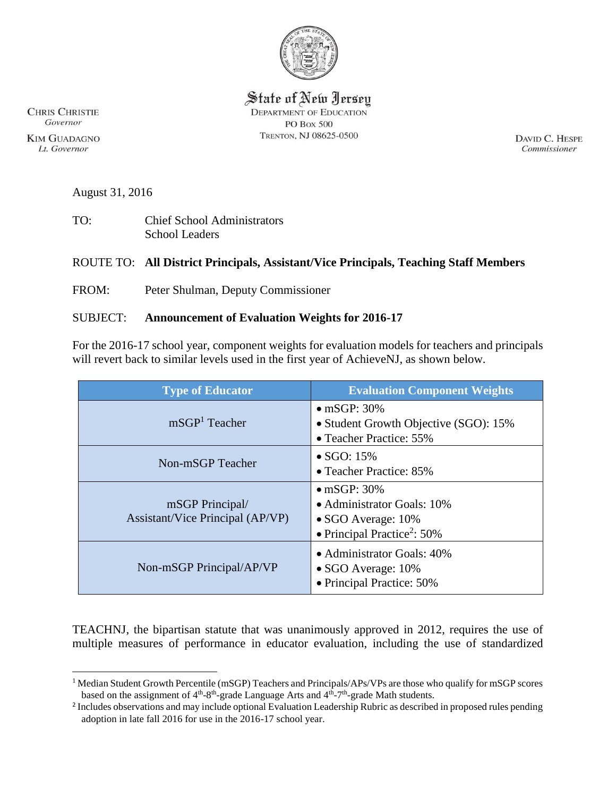

State of New Jersey **DEPARTMENT OF EDUCATION PO Box 500** TRENTON, NJ 08625-0500

**CHRIS CHRISTIE** Governor **KIM GUADAGNO** Lt. Governor

 $\overline{a}$ 

DAVID C. HESPE Commissioner

August 31, 2016

TO: Chief School Administrators School Leaders

## ROUTE TO: **All District Principals, Assistant/Vice Principals, Teaching Staff Members**

FROM: Peter Shulman, Deputy Commissioner

## SUBJECT: **Announcement of Evaluation Weights for 2016-17**

For the 2016-17 school year, component weights for evaluation models for teachers and principals will revert back to similar levels used in the first year of AchieveNJ, as shown below.

| <b>Type of Educator</b>                             | <b>Evaluation Component Weights</b>                                                                                                |
|-----------------------------------------------------|------------------------------------------------------------------------------------------------------------------------------------|
| $mSGP1$ Teacher                                     | $\bullet$ mSGP: 30%<br>• Student Growth Objective (SGO): 15%<br>• Teacher Practice: 55%                                            |
| Non-mSGP Teacher                                    | $\bullet$ SGO: 15%<br>• Teacher Practice: 85%                                                                                      |
| mSGP Principal/<br>Assistant/Vice Principal (AP/VP) | $\bullet$ mSGP: 30%<br>• Administrator Goals: 10%<br>$\bullet$ SGO Average: 10%<br>$\bullet$ Principal Practice <sup>2</sup> : 50% |
| Non-mSGP Principal/AP/VP                            | • Administrator Goals: 40%<br>$\bullet$ SGO Average: 10%<br>• Principal Practice: 50%                                              |

TEACHNJ, the bipartisan statute that was unanimously approved in 2012, requires the use of multiple measures of performance in educator evaluation, including the use of standardized

<sup>1</sup> Median Student Growth Percentile (mSGP) Teachers and Principals/APs/VPs are those who qualify for mSGP scores based on the assignment of  $4<sup>th</sup>-8<sup>th</sup>$ -grade Language Arts and  $4<sup>th</sup>-7<sup>th</sup>$ -grade Math students.

<sup>&</sup>lt;sup>2</sup> Includes observations and may include optional Evaluation Leadership Rubric as described in proposed rules pending adoption in late fall 2016 for use in the 2016-17 school year.